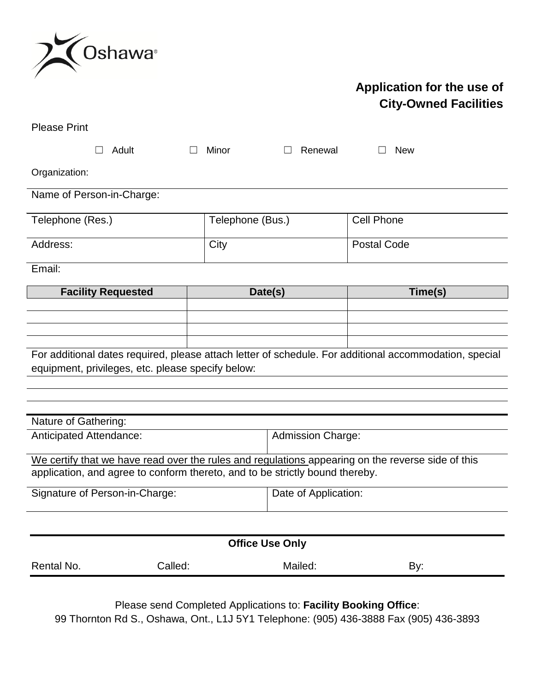

## **Application for the use of City-Owned Facilities**

| <b>Please Print</b>                                                                                                                                                               |                  |                          |                    |
|-----------------------------------------------------------------------------------------------------------------------------------------------------------------------------------|------------------|--------------------------|--------------------|
| Adult                                                                                                                                                                             | Minor            | Renewal                  | <b>New</b>         |
| Organization:                                                                                                                                                                     |                  |                          |                    |
| Name of Person-in-Charge:                                                                                                                                                         |                  |                          |                    |
| Telephone (Res.)                                                                                                                                                                  | Telephone (Bus.) |                          | <b>Cell Phone</b>  |
| Address:                                                                                                                                                                          | City             |                          | <b>Postal Code</b> |
| Email:                                                                                                                                                                            |                  |                          |                    |
| <b>Facility Requested</b>                                                                                                                                                         | Date(s)          |                          | Time(s)            |
|                                                                                                                                                                                   |                  |                          |                    |
|                                                                                                                                                                                   |                  |                          |                    |
|                                                                                                                                                                                   |                  |                          |                    |
| For additional dates required, please attach letter of schedule. For additional accommodation, special<br>equipment, privileges, etc. please specify below:                       |                  |                          |                    |
|                                                                                                                                                                                   |                  |                          |                    |
|                                                                                                                                                                                   |                  |                          |                    |
| Nature of Gathering:                                                                                                                                                              |                  |                          |                    |
| Anticipated Attendance:                                                                                                                                                           |                  | <b>Admission Charge:</b> |                    |
| We certify that we have read over the rules and regulations appearing on the reverse side of this<br>application, and agree to conform thereto, and to be strictly bound thereby. |                  |                          |                    |
| Signature of Person-in-Charge:                                                                                                                                                    |                  | Date of Application:     |                    |
|                                                                                                                                                                                   |                  |                          |                    |
| <b>Office Use Only</b>                                                                                                                                                            |                  |                          |                    |
| Called:<br>Rental No.                                                                                                                                                             |                  | Mailed:                  | By:                |
| Please send Completed Applications to: Facility Booking Office:<br>00 Thornton Rd S Oshawa Ont 1115V1 Telephone: (005) 136-3888 Fay (005) 136-3803                                |                  |                          |                    |

99 Thornton Rd S., Oshawa, Ont., L1J 5Y1 Telephone: (905) 436-3888 Fax (905) 436-3893